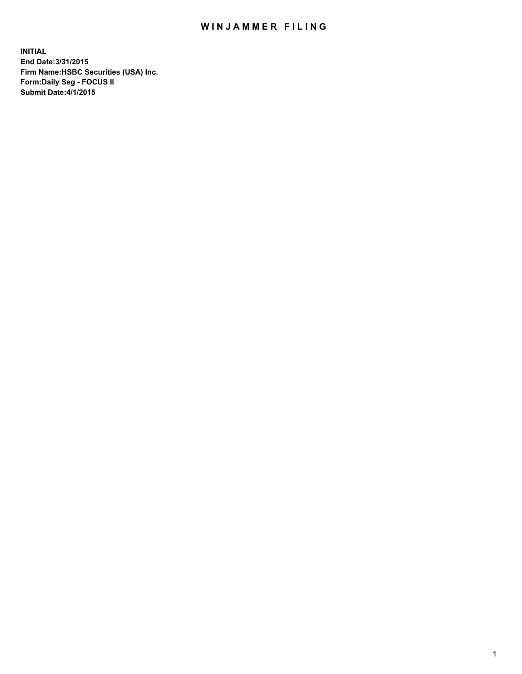## WIN JAMMER FILING

**INITIAL End Date:3/31/2015 Firm Name:HSBC Securities (USA) Inc. Form:Daily Seg - FOCUS II Submit Date:4/1/2015**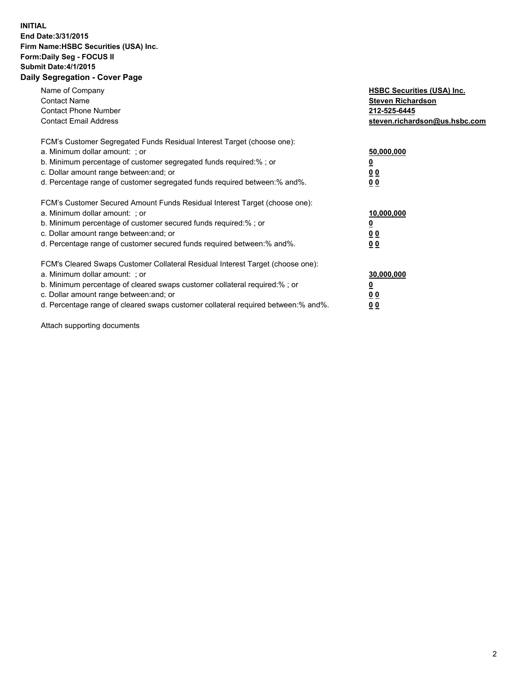## **INITIAL End Date:3/31/2015 Firm Name:HSBC Securities (USA) Inc. Form:Daily Seg - FOCUS II Submit Date:4/1/2015 Daily Segregation - Cover Page**

| Name of Company<br><b>Contact Name</b><br><b>Contact Phone Number</b><br><b>Contact Email Address</b>                                                                                                                                                                                                                         | <b>HSBC Securities (USA) Inc.</b><br><b>Steven Richardson</b><br>212-525-6445<br>steven.richardson@us.hsbc.com |
|-------------------------------------------------------------------------------------------------------------------------------------------------------------------------------------------------------------------------------------------------------------------------------------------------------------------------------|----------------------------------------------------------------------------------------------------------------|
| FCM's Customer Segregated Funds Residual Interest Target (choose one):<br>a. Minimum dollar amount: ; or<br>b. Minimum percentage of customer segregated funds required:%; or<br>c. Dollar amount range between: and; or<br>d. Percentage range of customer segregated funds required between:% and%.                         | 50,000,000<br>00<br>0 <sub>0</sub>                                                                             |
| FCM's Customer Secured Amount Funds Residual Interest Target (choose one):<br>a. Minimum dollar amount: ; or<br>b. Minimum percentage of customer secured funds required:%; or<br>c. Dollar amount range between: and; or<br>d. Percentage range of customer secured funds required between:% and%.                           | 10,000,000<br>0 <sub>0</sub><br>00                                                                             |
| FCM's Cleared Swaps Customer Collateral Residual Interest Target (choose one):<br>a. Minimum dollar amount: ; or<br>b. Minimum percentage of cleared swaps customer collateral required:%; or<br>c. Dollar amount range between: and; or<br>d. Percentage range of cleared swaps customer collateral required between:% and%. | 30,000,000<br><u>00</u><br><u>00</u>                                                                           |

Attach supporting documents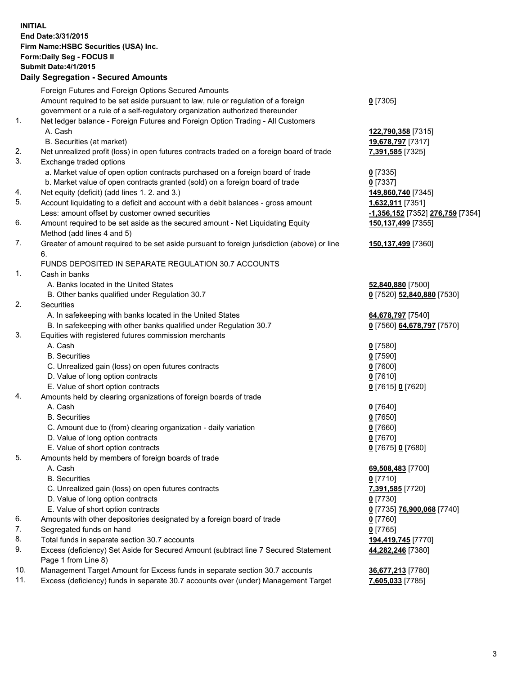**INITIAL End Date:3/31/2015 Firm Name:HSBC Securities (USA) Inc. Form:Daily Seg - FOCUS II Submit Date:4/1/2015 Daily Segregation - Secured Amounts** Foreign Futures and Foreign Options Secured Amounts Amount required to be set aside pursuant to law, rule or regulation of a foreign government or a rule of a self-regulatory organization authorized thereunder 1. Net ledger balance - Foreign Futures and Foreign Option Trading - All Customers A. Cash **122,790,358** [7315] B. Securities (at market) **19,678,797** [7317] 2. Net unrealized profit (loss) in open futures contracts traded on a foreign board of trade **7,391,585** [7325] 3. Exchange traded options a. Market value of open option contracts purchased on a foreign board of trade **0** [7335] b. Market value of open contracts granted (sold) on a foreign board of trade **0** [7337] 4. Net equity (deficit) (add lines 1. 2. and 3.) **149,860,740** [7345] 5. Account liquidating to a deficit and account with a debit balances - gross amount **1,632,911** [7351] Less: amount offset by customer owned securities **-1,356,152** [7352] **276,759** [7354] 6. Amount required to be set aside as the secured amount - Net Liquidating Equity Method (add lines 4 and 5) 7. Greater of amount required to be set aside pursuant to foreign jurisdiction (above) or line 6. FUNDS DEPOSITED IN SEPARATE REGULATION 30.7 ACCOUNTS 1. Cash in banks A. Banks located in the United States **52,840,880** [7500] B. Other banks qualified under Regulation 30.7 **0** [7520] **52,840,880** [7530] 2. Securities A. In safekeeping with banks located in the United States **64,678,797** [7540] B. In safekeeping with other banks qualified under Regulation 30.7 **0** [7560] **64,678,797** [7570] 3. Equities with registered futures commission merchants A. Cash **0** [7580] B. Securities **0** [7590] C. Unrealized gain (loss) on open futures contracts **0** [7600] D. Value of long option contracts **0** [7610] E. Value of short option contracts **0** [7615] **0** [7620]

- 4. Amounts held by clearing organizations of foreign boards of trade
	-
	- C. Amount due to (from) clearing organization daily variation **0** [7660]
	- D. Value of long option contracts **0** [7670]
	- E. Value of short option contracts **0** [7675] **0** [7680]
- 5. Amounts held by members of foreign boards of trade
	-
	-
	- C. Unrealized gain (loss) on open futures contracts **7,391,585** [7720]
	- D. Value of long option contracts **0** [7730]
	- E. Value of short option contracts **0** [7735] **76,900,068** [7740]
- 6. Amounts with other depositories designated by a foreign board of trade **0** [7760]
- 7. Segregated funds on hand **0** [7765]
- 8. Total funds in separate section 30.7 accounts **194,419,745** [7770]
- 9. Excess (deficiency) Set Aside for Secured Amount (subtract line 7 Secured Statement Page 1 from Line 8)
- 10. Management Target Amount for Excess funds in separate section 30.7 accounts **36,677,213** [7780]
- 11. Excess (deficiency) funds in separate 30.7 accounts over (under) Management Target **7,605,033** [7785]

**0** [7305]

**150,137,499** [7355]

**150,137,499** [7360]

 A. Cash **0** [7640] B. Securities **0** [7650]

 A. Cash **69,508,483** [7700] B. Securities **0** [7710] **44,282,246** [7380]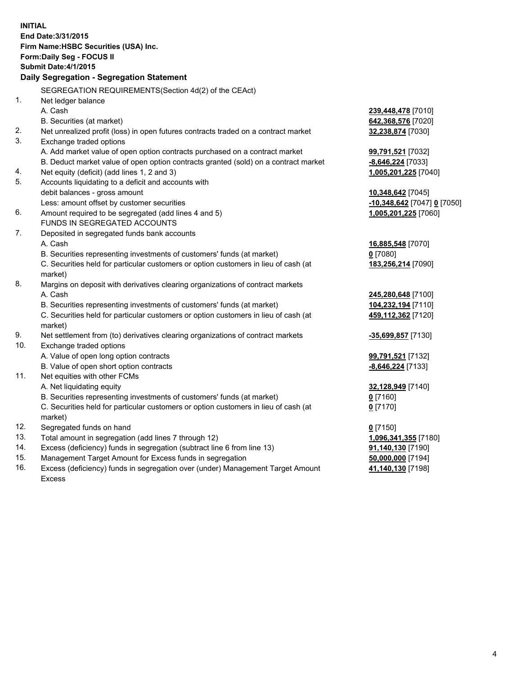| <b>INITIAL</b> | End Date: 3/31/2015<br>Firm Name: HSBC Securities (USA) Inc.<br>Form: Daily Seg - FOCUS II<br><b>Submit Date:4/1/2015</b><br>Daily Segregation - Segregation Statement |                             |
|----------------|------------------------------------------------------------------------------------------------------------------------------------------------------------------------|-----------------------------|
|                | SEGREGATION REQUIREMENTS(Section 4d(2) of the CEAct)                                                                                                                   |                             |
| 1.             | Net ledger balance                                                                                                                                                     |                             |
|                | A. Cash<br>B. Securities (at market)                                                                                                                                   | 239,448,478 [7010]          |
| 2.             | Net unrealized profit (loss) in open futures contracts traded on a contract market                                                                                     | 642,368,576 [7020]          |
| 3.             | Exchange traded options                                                                                                                                                | 32,238,874 [7030]           |
|                | A. Add market value of open option contracts purchased on a contract market                                                                                            | 99,791,521 [7032]           |
|                | B. Deduct market value of open option contracts granted (sold) on a contract market                                                                                    | $-8,646,224$ [7033]         |
| 4.             | Net equity (deficit) (add lines 1, 2 and 3)                                                                                                                            | 1,005,201,225 [7040]        |
| 5.             | Accounts liquidating to a deficit and accounts with                                                                                                                    |                             |
|                | debit balances - gross amount                                                                                                                                          | 10,348,642 [7045]           |
|                | Less: amount offset by customer securities                                                                                                                             | -10,348,642 [7047] 0 [7050] |
| 6.             | Amount required to be segregated (add lines 4 and 5)                                                                                                                   | 1,005,201,225 [7060]        |
|                | FUNDS IN SEGREGATED ACCOUNTS                                                                                                                                           |                             |
| 7.             | Deposited in segregated funds bank accounts                                                                                                                            |                             |
|                | A. Cash                                                                                                                                                                | 16,885,548 [7070]           |
|                | B. Securities representing investments of customers' funds (at market)                                                                                                 | $0$ [7080]                  |
|                | C. Securities held for particular customers or option customers in lieu of cash (at<br>market)                                                                         | 183,256,214 [7090]          |
| 8.             | Margins on deposit with derivatives clearing organizations of contract markets                                                                                         |                             |
|                | A. Cash                                                                                                                                                                | 245,280,648 [7100]          |
|                | B. Securities representing investments of customers' funds (at market)                                                                                                 | 104,232,194 [7110]          |
|                | C. Securities held for particular customers or option customers in lieu of cash (at<br>market)                                                                         | 459,112,362 [7120]          |
| 9.             | Net settlement from (to) derivatives clearing organizations of contract markets                                                                                        | -35,699,857 [7130]          |
| 10.            | Exchange traded options                                                                                                                                                |                             |
|                | A. Value of open long option contracts                                                                                                                                 | 99,791,521 [7132]           |
|                | B. Value of open short option contracts                                                                                                                                | -8,646,224 [7133]           |
| 11.            | Net equities with other FCMs                                                                                                                                           |                             |
|                | A. Net liquidating equity                                                                                                                                              | 32,128,949 [7140]           |
|                | B. Securities representing investments of customers' funds (at market)                                                                                                 | 0 [7160]                    |
|                | C. Securities held for particular customers or option customers in lieu of cash (at<br>market)                                                                         | $0$ [7170]                  |
| 12.            | Segregated funds on hand                                                                                                                                               | $0$ [7150]                  |
| 13.            | Total amount in segregation (add lines 7 through 12)                                                                                                                   | 1,096,341,355 [7180]        |
| 14.            | Excess (deficiency) funds in segregation (subtract line 6 from line 13)                                                                                                | 91,140,130 [7190]           |
| 15.            | Management Target Amount for Excess funds in segregation                                                                                                               | 50,000,000 [7194]           |
| 16.            | Excess (deficiency) funds in segregation over (under) Management Target Amount<br><b>Excess</b>                                                                        | 41,140,130 [7198]           |